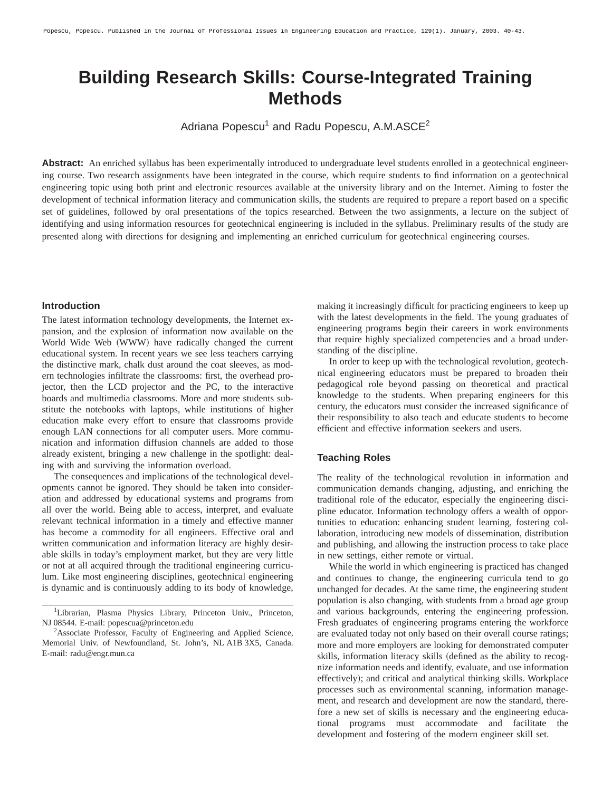# **Building Research Skills: Course-Integrated Training Methods**

Adriana Popescu<sup>1</sup> and Radu Popescu, A.M.ASCE<sup>2</sup>

**Abstract:** An enriched syllabus has been experimentally introduced to undergraduate level students enrolled in a geotechnical engineering course. Two research assignments have been integrated in the course, which require students to find information on a geotechnical engineering topic using both print and electronic resources available at the university library and on the Internet. Aiming to foster the development of technical information literacy and communication skills, the students are required to prepare a report based on a specific set of guidelines, followed by oral presentations of the topics researched. Between the two assignments, a lecture on the subject of identifying and using information resources for geotechnical engineering is included in the syllabus. Preliminary results of the study are presented along with directions for designing and implementing an enriched curriculum for geotechnical engineering courses.

#### **Introduction**

The latest information technology developments, the Internet expansion, and the explosion of information now available on the World Wide Web (WWW) have radically changed the current educational system. In recent years we see less teachers carrying the distinctive mark, chalk dust around the coat sleeves, as modern technologies infiltrate the classrooms: first, the overhead projector, then the LCD projector and the PC, to the interactive boards and multimedia classrooms. More and more students substitute the notebooks with laptops, while institutions of higher education make every effort to ensure that classrooms provide enough LAN connections for all computer users. More communication and information diffusion channels are added to those already existent, bringing a new challenge in the spotlight: dealing with and surviving the information overload.

The consequences and implications of the technological developments cannot be ignored. They should be taken into consideration and addressed by educational systems and programs from all over the world. Being able to access, interpret, and evaluate relevant technical information in a timely and effective manner has become a commodity for all engineers. Effective oral and written communication and information literacy are highly desirable skills in today's employment market, but they are very little or not at all acquired through the traditional engineering curriculum. Like most engineering disciplines, geotechnical engineering is dynamic and is continuously adding to its body of knowledge,

making it increasingly difficult for practicing engineers to keep up with the latest developments in the field. The young graduates of engineering programs begin their careers in work environments that require highly specialized competencies and a broad understanding of the discipline.

In order to keep up with the technological revolution, geotechnical engineering educators must be prepared to broaden their pedagogical role beyond passing on theoretical and practical knowledge to the students. When preparing engineers for this century, the educators must consider the increased significance of their responsibility to also teach and educate students to become efficient and effective information seekers and users.

#### **Teaching Roles**

The reality of the technological revolution in information and communication demands changing, adjusting, and enriching the traditional role of the educator, especially the engineering discipline educator. Information technology offers a wealth of opportunities to education: enhancing student learning, fostering collaboration, introducing new models of dissemination, distribution and publishing, and allowing the instruction process to take place in new settings, either remote or virtual.

While the world in which engineering is practiced has changed and continues to change, the engineering curricula tend to go unchanged for decades. At the same time, the engineering student population is also changing, with students from a broad age group and various backgrounds, entering the engineering profession. Fresh graduates of engineering programs entering the workforce are evaluated today not only based on their overall course ratings; more and more employers are looking for demonstrated computer skills, information literacy skills (defined as the ability to recognize information needs and identify, evaluate, and use information effectively); and critical and analytical thinking skills. Workplace processes such as environmental scanning, information management, and research and development are now the standard, therefore a new set of skills is necessary and the engineering educational programs must accommodate and facilitate the development and fostering of the modern engineer skill set.

<sup>&</sup>lt;sup>1</sup>Librarian, Plasma Physics Library, Princeton Univ., Princeton, NJ 08544. E-mail: popescua@princeton.edu

<sup>&</sup>lt;sup>2</sup>Associate Professor, Faculty of Engineering and Applied Science, Memorial Univ. of Newfoundland, St. John's, NL A1B 3X5, Canada. E-mail: radu@engr.mun.ca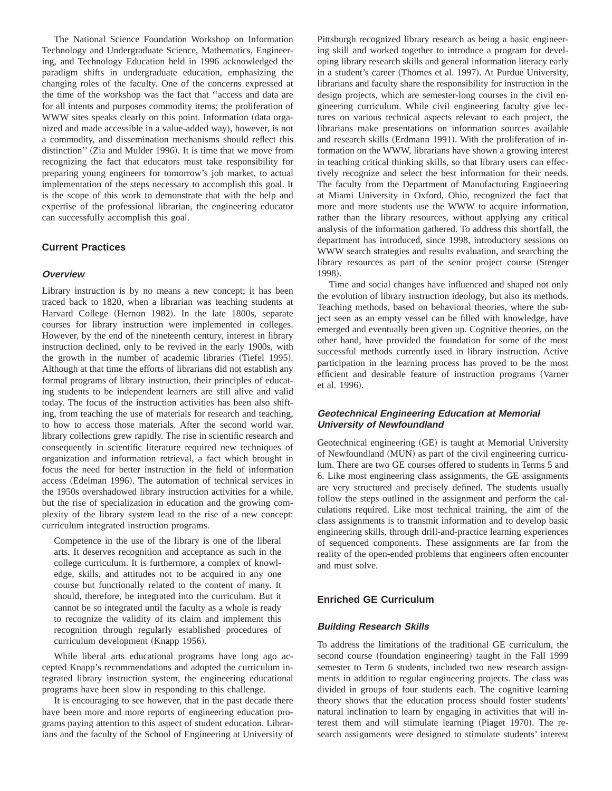The National Science Foundation Workshop on Information Technology and Undergraduate Science, Mathematics, Engineering, and Technology Education held in 1996 acknowledged the paradigm shifts in undergraduate education, emphasizing the changing roles of the faculty. One of the concerns expressed at the time of the workshop was the fact that ''access and data are for all intents and purposes commodity items; the proliferation of WWW sites speaks clearly on this point. Information (data organized and made accessible in a value-added way), however, is not a commodity, and dissemination mechanisms should reflect this distinction"  $(Zia$  and Mulder 1996). It is time that we move from recognizing the fact that educators must take responsibility for preparing young engineers for tomorrow's job market, to actual implementation of the steps necessary to accomplish this goal. It is the scope of this work to demonstrate that with the help and expertise of the professional librarian, the engineering educator can successfully accomplish this goal.

# **Current Practices**

#### **Overview**

Library instruction is by no means a new concept; it has been traced back to 1820, when a librarian was teaching students at Harvard College (Hernon 1982). In the late 1800s, separate courses for library instruction were implemented in colleges. However, by the end of the nineteenth century, interest in library instruction declined, only to be revived in the early 1900s, with the growth in the number of academic libraries (Tiefel 1995). Although at that time the efforts of librarians did not establish any formal programs of library instruction, their principles of educating students to be independent learners are still alive and valid today. The focus of the instruction activities has been also shifting, from teaching the use of materials for research and teaching, to how to access those materials. After the second world war, library collections grew rapidly. The rise in scientific research and consequently in scientific literature required new techniques of organization and information retrieval, a fact which brought in focus the need for better instruction in the field of information access (Edelman 1996). The automation of technical services in the 1950s overshadowed library instruction activities for a while, but the rise of specialization in education and the growing complexity of the library system lead to the rise of a new concept: curriculum integrated instruction programs.

Competence in the use of the library is one of the liberal arts. It deserves recognition and acceptance as such in the college curriculum. It is furthermore, a complex of knowledge, skills, and attitudes not to be acquired in any one course but functionally related to the content of many. It should, therefore, be integrated into the curriculum. But it cannot be so integrated until the faculty as a whole is ready to recognize the validity of its claim and implement this recognition through regularly established procedures of curriculum development (Knapp 1956).

While liberal arts educational programs have long ago accepted Knapp's recommendations and adopted the curriculum integrated library instruction system, the engineering educational programs have been slow in responding to this challenge.

It is encouraging to see however, that in the past decade there have been more and more reports of engineering education programs paying attention to this aspect of student education. Librarians and the faculty of the School of Engineering at University of

Pittsburgh recognized library research as being a basic engineering skill and worked together to introduce a program for developing library research skills and general information literacy early in a student's career (Thomes et al. 1997). At Purdue University, librarians and faculty share the responsibility for instruction in the design projects, which are semester-long courses in the civil engineering curriculum. While civil engineering faculty give lectures on various technical aspects relevant to each project, the librarians make presentations on information sources available and research skills (Erdmann 1991). With the proliferation of information on the WWW, librarians have shown a growing interest in teaching critical thinking skills, so that library users can effectively recognize and select the best information for their needs. The faculty from the Department of Manufacturing Engineering at Miami University in Oxford, Ohio, recognized the fact that more and more students use the WWW to acquire information, rather than the library resources, without applying any critical analysis of the information gathered. To address this shortfall, the department has introduced, since 1998, introductory sessions on WWW search strategies and results evaluation, and searching the library resources as part of the senior project course (Stenger 1998).

Time and social changes have influenced and shaped not only the evolution of library instruction ideology, but also its methods. Teaching methods, based on behavioral theories, where the subject seen as an empty vessel can be filled with knowledge, have emerged and eventually been given up. Cognitive theories, on the other hand, have provided the foundation for some of the most successful methods currently used in library instruction. Active participation in the learning process has proved to be the most efficient and desirable feature of instruction programs (Varner et al. 1996).

#### **Geotechnical Engineering Education at Memorial University of Newfoundland**

Geotechnical engineering (GE) is taught at Memorial University of Newfoundland (MUN) as part of the civil engineering curriculum. There are two GE courses offered to students in Terms 5 and 6. Like most engineering class assignments, the GE assignments are very structured and precisely defined. The students usually follow the steps outlined in the assignment and perform the calculations required. Like most technical training, the aim of the class assignments is to transmit information and to develop basic engineering skills, through drill-and-practice learning experiences of sequenced components. These assignments are far from the reality of the open-ended problems that engineers often encounter and must solve.

## **Enriched GE Curriculum**

#### **Building Research Skills**

To address the limitations of the traditional GE curriculum, the second course (foundation engineering) taught in the Fall 1999 semester to Term 6 students, included two new research assignments in addition to regular engineering projects. The class was divided in groups of four students each. The cognitive learning theory shows that the education process should foster students' natural inclination to learn by engaging in activities that will interest them and will stimulate learning (Piaget 1970). The research assignments were designed to stimulate students' interest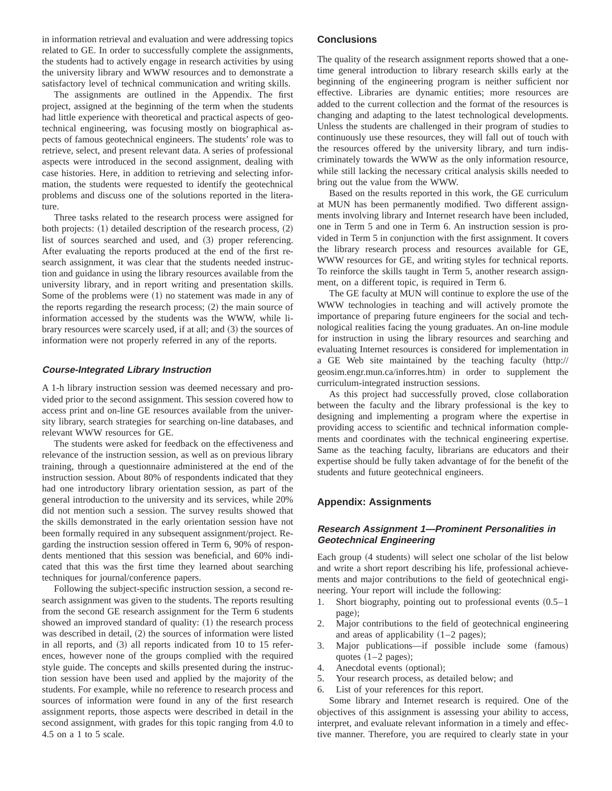in information retrieval and evaluation and were addressing topics related to GE. In order to successfully complete the assignments, the students had to actively engage in research activities by using the university library and WWW resources and to demonstrate a satisfactory level of technical communication and writing skills.

The assignments are outlined in the Appendix. The first project, assigned at the beginning of the term when the students had little experience with theoretical and practical aspects of geotechnical engineering, was focusing mostly on biographical aspects of famous geotechnical engineers. The students' role was to retrieve, select, and present relevant data. A series of professional aspects were introduced in the second assignment, dealing with case histories. Here, in addition to retrieving and selecting information, the students were requested to identify the geotechnical problems and discuss one of the solutions reported in the literature.

Three tasks related to the research process were assigned for both projects:  $(1)$  detailed description of the research process,  $(2)$ list of sources searched and used, and  $(3)$  proper referencing. After evaluating the reports produced at the end of the first research assignment, it was clear that the students needed instruction and guidance in using the library resources available from the university library, and in report writing and presentation skills. Some of the problems were  $(1)$  no statement was made in any of the reports regarding the research process;  $(2)$  the main source of information accessed by the students was the WWW, while library resources were scarcely used, if at all; and  $(3)$  the sources of information were not properly referred in any of the reports.

#### **Course-Integrated Library Instruction**

A 1-h library instruction session was deemed necessary and provided prior to the second assignment. This session covered how to access print and on-line GE resources available from the university library, search strategies for searching on-line databases, and relevant WWW resources for GE.

The students were asked for feedback on the effectiveness and relevance of the instruction session, as well as on previous library training, through a questionnaire administered at the end of the instruction session. About 80% of respondents indicated that they had one introductory library orientation session, as part of the general introduction to the university and its services, while 20% did not mention such a session. The survey results showed that the skills demonstrated in the early orientation session have not been formally required in any subsequent assignment/project. Regarding the instruction session offered in Term 6, 90% of respondents mentioned that this session was beneficial, and 60% indicated that this was the first time they learned about searching techniques for journal/conference papers.

Following the subject-specific instruction session, a second research assignment was given to the students. The reports resulting from the second GE research assignment for the Term 6 students showed an improved standard of quality:  $(1)$  the research process was described in detail,  $(2)$  the sources of information were listed in all reports, and  $(3)$  all reports indicated from 10 to 15 references, however none of the groups complied with the required style guide. The concepts and skills presented during the instruction session have been used and applied by the majority of the students. For example, while no reference to research process and sources of information were found in any of the first research assignment reports, those aspects were described in detail in the second assignment, with grades for this topic ranging from 4.0 to 4.5 on a 1 to 5 scale.

#### **Conclusions**

The quality of the research assignment reports showed that a onetime general introduction to library research skills early at the beginning of the engineering program is neither sufficient nor effective. Libraries are dynamic entities; more resources are added to the current collection and the format of the resources is changing and adapting to the latest technological developments. Unless the students are challenged in their program of studies to continuously use these resources, they will fall out of touch with the resources offered by the university library, and turn indiscriminately towards the WWW as the only information resource, while still lacking the necessary critical analysis skills needed to bring out the value from the WWW.

Based on the results reported in this work, the GE curriculum at MUN has been permanently modified. Two different assignments involving library and Internet research have been included, one in Term 5 and one in Term 6. An instruction session is provided in Term 5 in conjunction with the first assignment. It covers the library research process and resources available for GE, WWW resources for GE, and writing styles for technical reports. To reinforce the skills taught in Term 5, another research assignment, on a different topic, is required in Term 6.

The GE faculty at MUN will continue to explore the use of the WWW technologies in teaching and will actively promote the importance of preparing future engineers for the social and technological realities facing the young graduates. An on-line module for instruction in using the library resources and searching and evaluating Internet resources is considered for implementation in a GE Web site maintained by the teaching faculty (http:// geosim.engr.mun.ca/inforres.htm) in order to supplement the curriculum-integrated instruction sessions.

As this project had successfully proved, close collaboration between the faculty and the library professional is the key to designing and implementing a program where the expertise in providing access to scientific and technical information complements and coordinates with the technical engineering expertise. Same as the teaching faculty, librarians are educators and their expertise should be fully taken advantage of for the benefit of the students and future geotechnical engineers.

#### **Appendix: Assignments**

## **Research Assignment 1—Prominent Personalities in Geotechnical Engineering**

Each group (4 students) will select one scholar of the list below and write a short report describing his life, professional achievements and major contributions to the field of geotechnical engineering. Your report will include the following:

- 1. Short biography, pointing out to professional events  $(0.5-1)$ page);
- 2. Major contributions to the field of geotechnical engineering and areas of applicability  $(1–2$  pages);
- 3. Major publications—if possible include some (famous) quotes  $(1–2$  pages);
- 4. Anecdotal events (optional);
- 5. Your research process, as detailed below; and
- 6. List of your references for this report.

Some library and Internet research is required. One of the objectives of this assignment is assessing your ability to access, interpret, and evaluate relevant information in a timely and effective manner. Therefore, you are required to clearly state in your